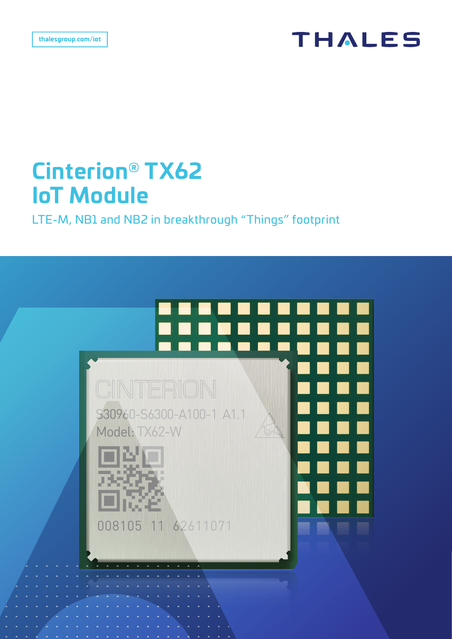# **THALES**

# **Cinterion® TX62 IoT Module**

LTE-M, NB1 and NB2 in breakthrough "Things" footprint

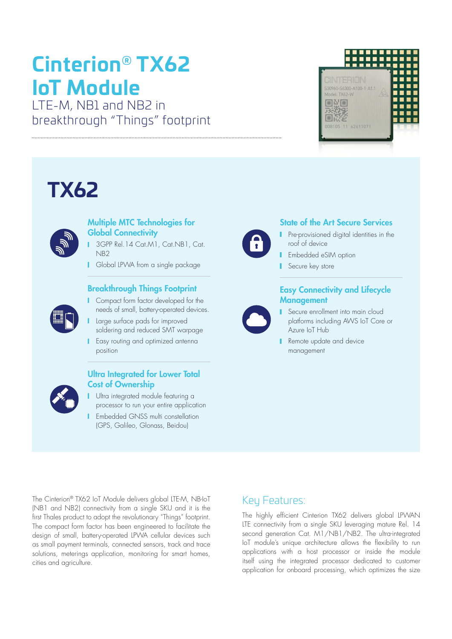# **Cinterion® TX62 IoT Module**

LTE-M, NB1 and NB2 in breakthrough "Things" footprint



# **TX62**



#### Multiple MTC Technologies for **Global Connectivity**

- 1 3GPP Rel.14 Cat.M1, Cat.NB1, Cat. NB2
- **I** Global LPWA from a single package

#### Breakthrough Things Footprint

- **Compact form factor developed for the** needs of small, battery-operated devices.
- **Large surface pads for improved** soldering and reduced SMT warpage
- **I** Easy routing and optimized antenna position



#### Ultra Integrated for Lower Total Cost of Ownership

- Ultra integrated module featuring a processor to run your entire application
- Embedded GNSS multi constellation (GPS, Galileo, Glonass, Beidou)



#### State of the Art Secure Services

- **Pre-provisioned digital identities in the** roof of device
- **F** Embedded eSIM option
- Secure key store

#### Easy Connectivity and Lifecycle **Management**



- **I** Secure enrollment into main cloud platforms including AWS IoT Core or Azure IoT Hub
- Remote update and device management

The Cinterion® TX62 IoT Module delivers global LTE-M, NB-IoT (NB1 and NB2) connectivity from a single SKU and it is the first Thales product to adopt the revolutionary "Things" footprint. The compact form factor has been engineered to facilitate the design of small, battery-operated LPWA cellular devices such as small payment terminals, connected sensors, track and trace solutions, meterings application, monitoring for smart homes, cities and agriculture.

# Key Features:

The highly efficient Cinterion TX62 delivers global LPWAN LTE connectivity from a single SKU leveraging mature Rel. 14 second generation Cat. M1/NB1/NB2. The ultra-integrated IoT module's unique architecture allows the flexibility to run applications with a host processor or inside the module itself using the integrated processor dedicated to customer application for onboard processing, which optimizes the size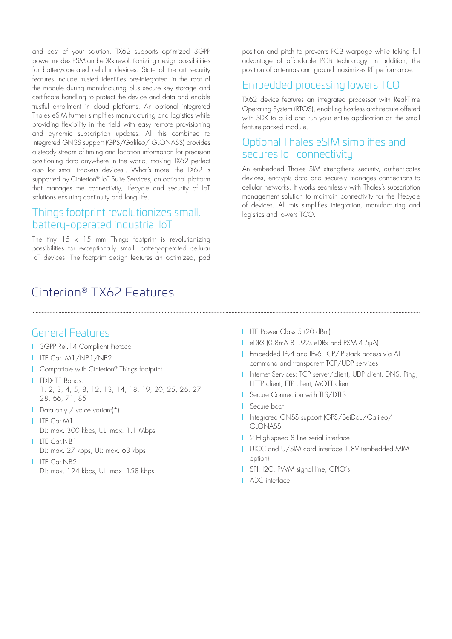and cost of your solution. TX62 supports optimized 3GPP power modes PSM and eDRx revolutionizing design possibilities for battery-operated cellular devices. State of the art security features include trusted identities pre-integrated in the root of the module during manufacturing plus secure key storage and certificate handling to protect the device and data and enable trustful enrollment in cloud platforms. An optional integrated Thales eSIM further simplifies manufacturing and logistics while providing flexibility in the field with easy remote provisioning and dynamic subscription updates. All this combined to Integrated GNSS support (GPS/Galileo/ GLONASS) provides a steady stream of timing and location information for precision positioning data anywhere in the world, making TX62 perfect also for small trackers devices.. What's more, the TX62 is supported by Cinterion® IoT Suite Services, an optional platform that manages the connectivity, lifecycle and security of IoT solutions ensuring continuity and long life.

### Things footprint revolutionizes small, battery-operated industrial IoT

The tiny  $15 \times 15$  mm Things footprint is revolutionizing possibilities for exceptionally small, battery-operated cellular IoT devices. The footprint design features an optimized, pad position and pitch to prevents PCB warpage while taking full advantage of affordable PCB technology. In addition, the position of antennas and ground maximizes RF performance.

### Embedded processing lowers TCO

TX62 device features an integrated processor with Real-Time Operating System (RTOS), enabling hostless architecture offered with SDK to build and run your entire application on the small feature-packed module.

### Optional Thales eSIM simplifies and secures IoT connectivity

An embedded Thales SIM strengthens security, authenticates devices, encrypts data and securely manages connections to cellular networks. It works seamlessly with Thales's subscription management solution to maintain connectivity for the lifecycle of devices. All this simplifies integration, manufacturing and logistics and lowers TCO.

# Cinterion® TX62 Features

### General Features

- **3GPP Rel.14 Compliant Protocol**
- LTE Cat. M1/NB1/NB2
- Compatible with Cinterion® Things footprint
- **FDD-LTE Bands:** 1, 2, 3, 4, 5, 8, 12, 13, 14, 18, 19, 20, 25, 26, 27, 28, 66, 71, 85
- Data only / voice variant(\*)
- **LTE Cat.M1** DL: max. 300 kbps, UL: max. 1.1 Mbps
- **LTE Cat.NB1** DL: max. 27 kbps, UL: max. 63 kbps
- **LTE Cat NB2** DL: max. 124 kbps, UL: max. 158 kbps
- **LTE Power Class 5 (20 dBm)**
- **DRX (0.8mA 81.92s eDRx and PSM 4.5pA)**
- **I** Embedded IPv4 and IPv6 TCP/IP stack access via AT command and transparent TCP/UDP services
- I Internet Services: TCP server/client, UDP client, DNS, Ping, HTTP client, FTP client, MQTT client
- Secure Connection with TLS/DTLS
- Secure boot
- Integrated GNSS support (GPS/BeiDou/Galileo/ GLONASS
- 1 2 High-speed 8 line serial interface
- UICC and U/SIM card interface 1.8V (embedded MIM option)
- SPI, I2C, PWM signal line, GPIO's
- **ADC** interface